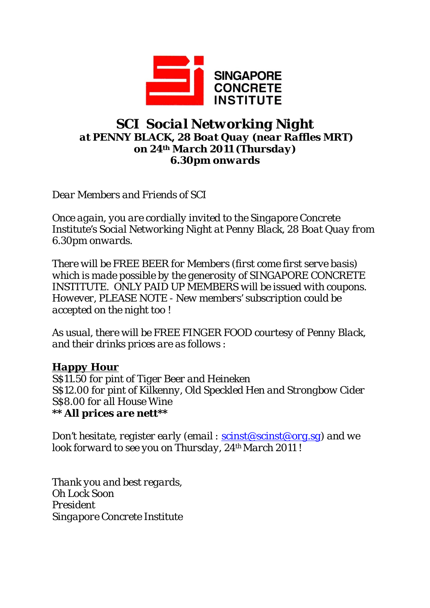

## *SCI Social Networking Night at PENNY BLACK, 28 Boat Quay (near Raffles MRT) on 24th March 2011 (Thursday) 6.30pm onwards*

*Dear Members and Friends of SCI* 

*Once again, you are cordially invited to the Singapore Concrete Institute's Social Networking Night at Penny Black, 28 Boat Quay from 6.30pm onwards.* 

*There will be FREE BEER for Members (first come first serve basis) which is made possible by the generosity of SINGAPORE CONCRETE INSTITUTE. ONLY PAID UP MEMBERS will be issued with coupons. However, PLEASE NOTE - New members' subscription could be accepted on the night too !* 

*As usual, there will be FREE FINGER FOOD courtesy of Penny Black, and their drinks prices are as follows :* 

## *Happy Hour*

*S\$11.50 for pint of Tiger Beer and Heineken S\$12.00 for pint of Kilkenny, Old Speckled Hen and Strongbow Cider S\$8.00 for all House Wine \*\* All prices are nett\*\** 

*Don't hesitate, register early (email : scinst@scinst@org.sg) and we look forward to see you on Thursday, 24th March 2011 !* 

*Thank you and best regards, Oh Lock Soon President Singapore Concrete Institute*